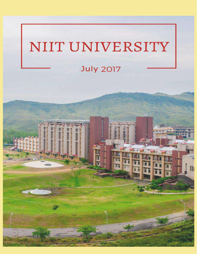# NIIT UNIVERSITY

### **July 2017**

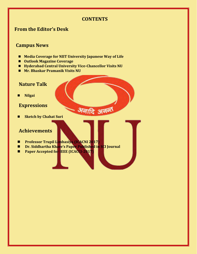#### **CONTENTS**

अनादि अनन्त

#### **From the Editor's Desk**

#### **Campus News**

- **Media Coverage for NIIT University Japanese Way of Life**
- **Outlook Magazine Coverage**
- Hyderabad Central University Vice-Chancellor Visits NU
- **Mr. Bhaskar Pramanik Visits NU**

#### **Nature Talk**

 **Nilgai**

#### **Expressions**

**E** Sketch by Chahat Suri

#### **Achievements**

- **Professor Trupil Limbasiya (ICACNI 2017)**
- **Dr. Siddhartha Khare's Paper Published in SCI Journal**
- **Paper Accepted for IEEE (ICACCI-2017)**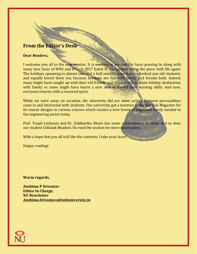#### **From the Editor's Desk**

#### **Dear Readers,**

I welcome you all to the new session. It is exciting to see familiar faces pouring in along with many new faces of WNS and B.Tech 2017 batch in the campus filling the place with life again. The holidays spanning to almost two and a half months must have refreshed you old students, and equally bored them too, because holidays are fun with family and friends both. Indeed, many might have caught up with their old friends and taken a trip to some holiday destination with family or some might have learnt a new skill or honed their existing skills. And now, everyone returns with a renewed spirit.

While we were away on vacation, the university did see some action. Eminent personalities came in and interacted with students. Our university got a mention in the Outlook Magazine for its course designs in various courses which creates a new breed of engineers sorely needed in the engineering sector today.

Prof. Trupil Limbasia and Dr. Siddhartha Khare has some achievements to share and so does our student Uddalak Bhaduri. Do read the section for more information.

With a hope that you all will like the contents, I take your leave. We argument

Happy reading!

**Warm regards,**

**Anshima P Srivastav Editor In-Charge, NU Newsletter [Anshima.Srivastava@niituniversity.in](mailto:Anshima.Srivastava@niituniversity.in)**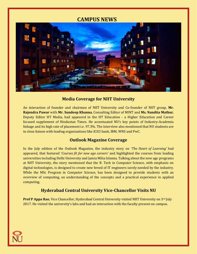#### **CAMPUS NEWS**



#### **Media Coverage for NIIT University**

An interaction of founder and chairman of NIIT University and Co-founder of NIIT group, **Mr. Rajendra Pawar** with **Mr. Sundeep Khanna**, Consulting Editor of MINT and **Ms. Nandita Mathur**, Deputy Editor HT Media, had appeared in the HT Education - a Higher Education and Career focused supplement of Hindustan Times. He accentuated NU's key points of Industry-Academia linkage and its high rate of placement i.e. 97.3%. The interview also mentioned that NU students are in close liaison with leading organizations like ICICI bank, IBM, WNS and PwC.

#### **Outlook Magazine Coverage**

In the July edition of the Outlook Magazine, the industry story on '*The Heart of Learning'* had appeared, that featured '*Courses fit for new age careers'* and highlighted the courses from leading universities including Delhi University and Jamia Milia Islamia. Talking about the new age programs at NIIT University, the story mentioned that the B. Tech in Computer Science, with emphasis on digital technologies, is designed to create new breed of IT engineers sorely needed by the industry. While the MSc Program in Computer Science, has been designed to provide students with an overview of computing, an understanding of the concepts and a practical experience in applied computing.

#### **Hyderabad Central University Vice-Chancellor Visits NU**

**Prof P Appa Rao**, Vice Chancellor, Hyderabad Central University visited NIIT University on 3<sup>rd</sup> July 2017. He visited the university's labs and had an interaction with the faculty present on campus.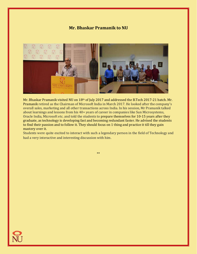#### **Mr. Bhaskar Pramanik to NU**



Mr. Bhaskar Pramanik visited NU on 18<sup>th</sup> of July 2017 and addressed the B.Tech 2017-21 batch. Mr. Pramanik retired as the Chairman of Microsoft India in March 2017. He looked after the company's overall sales, marketing and all other transactions across India. In his session, Mr Pramanik talked about learnings and lessons from his 40+ years of career in companies like Sun Microsystems, Oracle India, Microsoft etc. and told the students to prepare themselves for 10-15 years after they graduate, as technology is developing fast and becoming redundant faster. He advised the students to find their passion and to follow it. They should focus on 1 thing and practice it till they gain mastery over it.

Students were quite excited to interact with such a legendary person in the field of Technology and had a very interactive and interesting discussion with him.

\*\*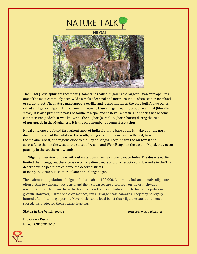

The nilgai (Boselaphus tragocamelus), sometimes called nilgau, is the largest Asian antelope. It is one of the most commonly seen wild animals of central and northern India, often seen in farmland or scrub forest. The mature male appears ox-like and is also known as the blue bull. A blue bull is called a nil gai or nilgai in India, from nil meaning blue and gai meaning a bovine animal (literally 'cow'). It is also present in parts of southern Nepal and eastern Pakistan. The species has become extinct in Bangladesh. It was known as the nilghor (nil= blue, ghor = horse) during the rule of Aurangzeb in the Mughal era. It is the only member of genus Boselaphus.

Nilgai antelope are found throughout most of India, from the base of the Himalayas in the north, down to the state of Karnataka in the south, being absent only in eastern Bengal, Assam, the Malabar Coast, and regions close to the Bay of Bengal. They inhabit the Gir forest and across Rajasthan in the west to the states of Assam and West Bengal in the east. In Nepal, they occur patchily in the southern lowlands.

 Nilgai can survive for days without water, but they live close to waterholes. The deserts earlier limited their range, but the extension of irrigation canals and proliferation of tube-wells in the Thar desert have helped them colonize the desert districts of Jodhpur, Barmer, Jaisalmer, Bikaner and Ganganagar.

The estimated population of nilgai in India is about 100,000. Like many Indian animals, nilgai are often victim to vehicular accidents, and their carcasses are often seen on major highways in northern India. The main threat to this species is the loss of habitat due to human population growth. However, nilgai are a crop menace, causing large-scale damages. They may be legally hunted after obtaining a permit. Nevertheless, the local belief that nilgai are cattle and hence sacred, has protected them against hunting.

#### **Status in the Wild:** Secure Sources: wikipedia.org

Divya Sara Kurian B.Tech CSE (2013-17)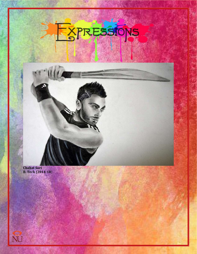## PRESSIONS EXI

**Chahat Suri B. Tech (2014-18**)

Ø

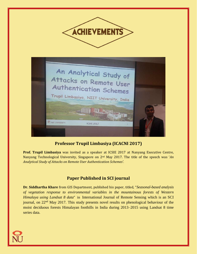

#### **Professor Trupil Limbasiya (ICACNI 2017)**

**Prof. Trupil Limbasiya** was invited as a speaker at ICSIE 2017 at Nanyang Executive Centre, Nanyang Technological University, Singapore on 2nd May 2017. The title of the speech was '*An Analytical Study of Attacks on Remote User Authentication Schemes'.*

#### **Paper Published in SCI journal**

**Dr. Siddhartha Khare** from GIS Department, published his paper, titled, "*Seasonal-based analysis of vegetation response to environmental variables in the mountainous forests of Western Himalaya using Landsat 8 data*" in International Journal of Remote Sensing which is an SCI journal, on 22<sup>nd</sup> May 2017. This study presents novel results on phenological behaviour of the moist deciduous forests Himalayan foothills in India during 2013–2015 using Landsat 8 time series data.